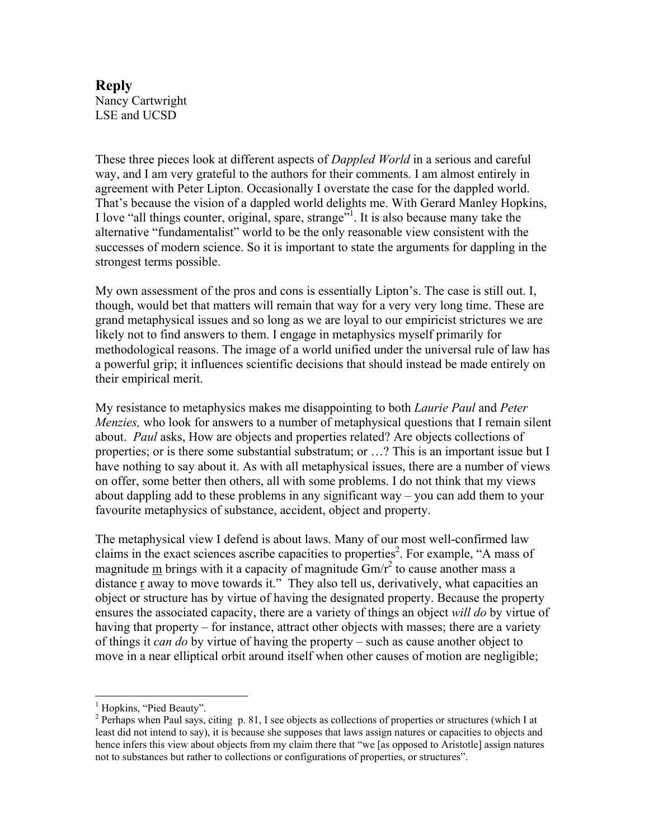## **Reply**  Nancy Cartwright LSE and UCSD

These three pieces look at different aspects of *Dappled World* in a serious and careful way, and I am very grateful to the authors for their comments. I am almost entirely in agreement with Peter Lipton. Occasionally I overstate the case for the dappled world. That's because the vision of a dappled world delights me. With Gerard Manley Hopkins, I love "all things counter, original, spare, strange". It is also because many take the alternative "fundamentalist" world to be the only reasonable view consistent with the successes of modern science. So it is important to state the arguments for dappling in the strongest terms possible.

My own assessment of the pros and cons is essentially Lipton's. The case is still out. I, though, would bet that matters will remain that way for a very very long time. These are grand metaphysical issues and so long as we are loyal to our empiricist strictures we are likely not to find answers to them. I engage in metaphysics myself primarily for methodological reasons. The image of a world unified under the universal rule of law has a powerful grip; it influences scientific decisions that should instead be made entirely on their empirical merit.

My resistance to metaphysics makes me disappointing to both *Laurie Paul* and *Peter Menzies,* who look for answers to a number of metaphysical questions that I remain silent about. *Paul* asks, How are objects and properties related? Are objects collections of properties; or is there some substantial substratum; or …? This is an important issue but I have nothing to say about it. As with all metaphysical issues, there are a number of views on offer, some better then others, all with some problems. I do not think that my views about dappling add to these problems in any significant way – you can add them to your favourite metaphysics of substance, accident, object and property.

The metaphysical view I defend is about laws. Many of our most well-confirmed law claims in the exact sciences ascribe capacities to properties<sup>2</sup>. For example, "A mass of magnitude  $\underline{m}$  brings with it a capacity of magnitude  $Gm/r^2$  to cause another mass a distance r away to move towards it." They also tell us, derivatively, what capacities an object or structure has by virtue of having the designated property. Because the property ensures the associated capacity, there are a variety of things an object *will do* by virtue of having that property – for instance, attract other objects with masses; there are a variety of things it *can do* by virtue of having the property – such as cause another object to move in a near elliptical orbit around itself when other causes of motion are negligible;

 $\overline{a}$ 

<span id="page-0-0"></span><sup>&</sup>lt;sup>1</sup> Hopkins, "Pied Beauty".

<span id="page-0-1"></span> $2^2$  Perhaps when Paul says, citing p. 81, I see objects as collections of properties or structures (which I at least did not intend to say), it is because she supposes that laws assign natures or capacities to objects and hence infers this view about objects from my claim there that "we [as opposed to Aristotle] assign natures not to substances but rather to collections or configurations of properties, or structures".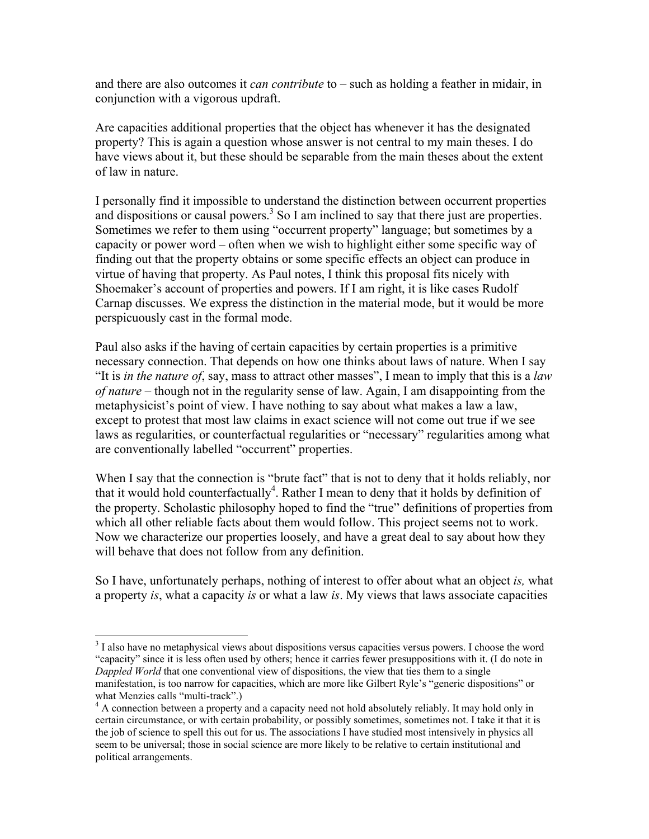and there are also outcomes it *can contribute* to – such as holding a feather in midair, in conjunction with a vigorous updraft.

Are capacities additional properties that the object has whenever it has the designated property? This is again a question whose answer is not central to my main theses. I do have views about it, but these should be separable from the main theses about the extent of law in nature.

I personally find it impossible to understand the distinction between occurrent properties and dispositions or causal powers.<sup>3</sup> So I am inclined to say that there just are properties. Sometimes we refer to them using "occurrent property" language; but sometimes by a capacity or power word – often when we wish to highlight either some specific way of finding out that the property obtains or some specific effects an object can produce in virtue of having that property. As Paul notes, I think this proposal fits nicely with Shoemaker's account of properties and powers. If I am right, it is like cases Rudolf Carnap discusses. We express the distinction in the material mode, but it would be more perspicuously cast in the formal mode.

Paul also asks if the having of certain capacities by certain properties is a primitive necessary connection. That depends on how one thinks about laws of nature. When I say "It is *in the nature of*, say, mass to attract other masses", I mean to imply that this is a *law of nature –* though not in the regularity sense of law. Again, I am disappointing from the metaphysicist's point of view. I have nothing to say about what makes a law a law, except to protest that most law claims in exact science will not come out true if we see laws as regularities, or counterfactual regularities or "necessary" regularities among what are conventionally labelled "occurrent" properties.

When I say that the connection is "brute fact" that is not to deny that it holds reliably, nor that it would hold counterfactually<sup>4</sup>. Rather I mean to deny that it holds by definition of the property. Scholastic philosophy hoped to find the "true" definitions of properties from which all other reliable facts about them would follow. This project seems not to work. Now we characterize our properties loosely, and have a great deal to say about how they will behave that does not follow from any definition.

So I have, unfortunately perhaps, nothing of interest to offer about what an object *is,* what a property *is*, what a capacity *is* or what a law *is*. My views that laws associate capacities

 $\overline{a}$ 

<span id="page-1-0"></span> $3<sup>3</sup>$  I also have no metaphysical views about dispositions versus capacities versus powers. I choose the word "capacity" since it is less often used by others; hence it carries fewer presuppositions with it. (I do note in *Dappled World* that one conventional view of dispositions, the view that ties them to a single manifestation, is too narrow for capacities, which are more like Gilbert Ryle's "generic dispositions" or what Menzies calls "multi-track".)

<span id="page-1-1"></span><sup>&</sup>lt;sup>4</sup> A connection between a property and a capacity need not hold absolutely reliably. It may hold only in certain circumstance, or with certain probability, or possibly sometimes, sometimes not. I take it that it is the job of science to spell this out for us. The associations I have studied most intensively in physics all seem to be universal; those in social science are more likely to be relative to certain institutional and political arrangements.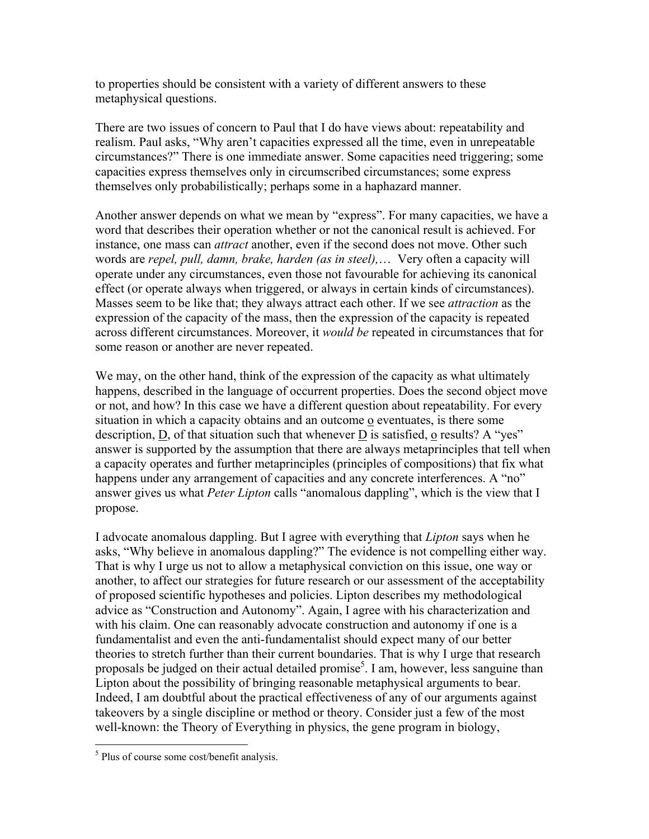to properties should be consistent with a variety of different answers to these metaphysical questions.

There are two issues of concern to Paul that I do have views about: repeatability and realism. Paul asks, "Why aren't capacities expressed all the time, even in unrepeatable circumstances?" There is one immediate answer. Some capacities need triggering; some capacities express themselves only in circumscribed circumstances; some express themselves only probabilistically; perhaps some in a haphazard manner.

Another answer depends on what we mean by "express". For many capacities, we have a word that describes their operation whether or not the canonical result is achieved. For instance, one mass can *attract* another, even if the second does not move. Other such words are *repel, pull, damn, brake, harden (as in steel),*… Very often a capacity will operate under any circumstances, even those not favourable for achieving its canonical effect (or operate always when triggered, or always in certain kinds of circumstances). Masses seem to be like that; they always attract each other. If we see *attraction* as the expression of the capacity of the mass, then the expression of the capacity is repeated across different circumstances. Moreover, it *would be* repeated in circumstances that for some reason or another are never repeated.

We may, on the other hand, think of the expression of the capacity as what ultimately happens, described in the language of occurrent properties. Does the second object move or not, and how? In this case we have a different question about repeatability. For every situation in which a capacity obtains and an outcome o eventuates, is there some description, D, of that situation such that whenever D is satisfied, o results? A "yes" answer is supported by the assumption that there are always metaprinciples that tell when a capacity operates and further metaprinciples (principles of compositions) that fix what happens under any arrangement of capacities and any concrete interferences. A "no" answer gives us what *Peter Lipton* calls "anomalous dappling", which is the view that I propose.

I advocate anomalous dappling. But I agree with everything that *Lipton* says when he asks, "Why believe in anomalous dappling?" The evidence is not compelling either way. That is why I urge us not to allow a metaphysical conviction on this issue, one way or another, to affect our strategies for future research or our assessment of the acceptability of proposed scientific hypotheses and policies. Lipton describes my methodological advice as "Construction and Autonomy". Again, I agree with his characterization and with his claim. One can reasonably advocate construction and autonomy if one is a fundamentalist and even the anti-fundamentalist should expect many of our better theories to stretch further than their current boundaries. That is why I urge that research proposals be judged on their actual detailed promise<sup>5</sup>. I am, however, less sanguine than Lipton about the possibility of bringing reasonable metaphysical arguments to bear. Indeed, I am doubtful about the practical effectiveness of any of our arguments against takeovers by a single discipline or method or theory. Consider just a few of the most well-known: the Theory of Everything in physics, the gene program in biology,

 $\overline{a}$ 

<span id="page-2-0"></span><sup>&</sup>lt;sup>5</sup> Plus of course some cost/benefit analysis.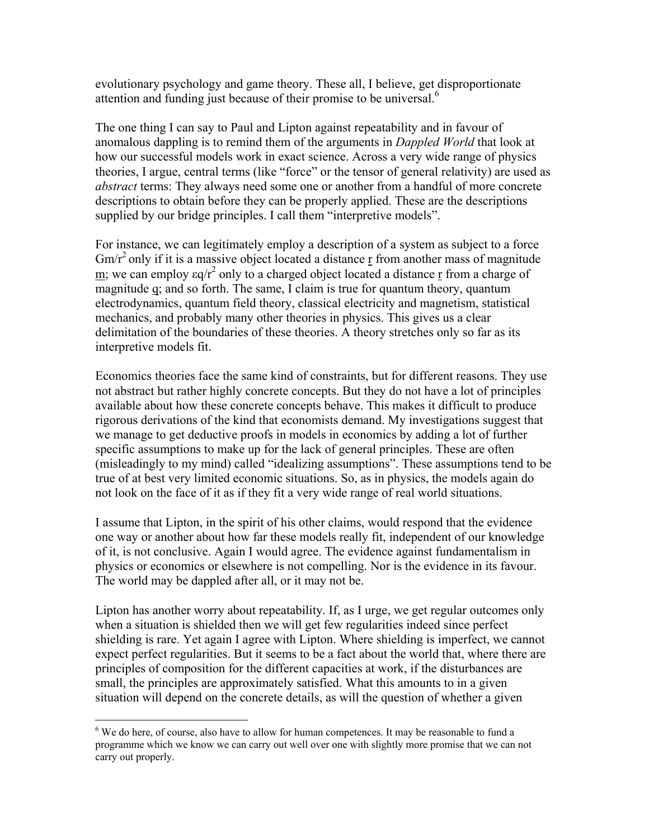evolutionary psychology and game theory. These all, I believe, get disproportionate attention and funding just because of their promise to be universal.<sup>6</sup>

The one thing I can say to Paul and Lipton against repeatability and in favour of anomalous dappling is to remind them of the arguments in *Dappled World* that look at how our successful models work in exact science. Across a very wide range of physics theories, I argue, central terms (like "force" or the tensor of general relativity) are used as *abstract* terms: They always need some one or another from a handful of more concrete descriptions to obtain before they can be properly applied. These are the descriptions supplied by our bridge principles. I call them "interpretive models".

For instance, we can legitimately employ a description of a system as subject to a force  $Gm/r^2$  only if it is a massive object located a distance  $r$  from another mass of magnitude  $m$ ; we can employ  $\epsilon q/r^2$  only to a charged object located a distance r from a charge of magnitude q; and so forth. The same, I claim is true for quantum theory, quantum electrodynamics, quantum field theory, classical electricity and magnetism, statistical mechanics, and probably many other theories in physics. This gives us a clear delimitation of the boundaries of these theories. A theory stretches only so far as its interpretive models fit.

Economics theories face the same kind of constraints, but for different reasons. They use not abstract but rather highly concrete concepts. But they do not have a lot of principles available about how these concrete concepts behave. This makes it difficult to produce rigorous derivations of the kind that economists demand. My investigations suggest that we manage to get deductive proofs in models in economics by adding a lot of further specific assumptions to make up for the lack of general principles. These are often (misleadingly to my mind) called "idealizing assumptions". These assumptions tend to be true of at best very limited economic situations. So, as in physics, the models again do not look on the face of it as if they fit a very wide range of real world situations.

I assume that Lipton, in the spirit of his other claims, would respond that the evidence one way or another about how far these models really fit, independent of our knowledge of it, is not conclusive. Again I would agree. The evidence against fundamentalism in physics or economics or elsewhere is not compelling. Nor is the evidence in its favour. The world may be dappled after all, or it may not be.

Lipton has another worry about repeatability. If, as I urge, we get regular outcomes only when a situation is shielded then we will get few regularities indeed since perfect shielding is rare. Yet again I agree with Lipton. Where shielding is imperfect, we cannot expect perfect regularities. But it seems to be a fact about the world that, where there are principles of composition for the different capacities at work, if the disturbances are small, the principles are approximately satisfied. What this amounts to in a given situation will depend on the concrete details, as will the question of whether a given

1

<span id="page-3-0"></span> $6$  We do here, of course, also have to allow for human competences. It may be reasonable to fund a programme which we know we can carry out well over one with slightly more promise that we can not carry out properly.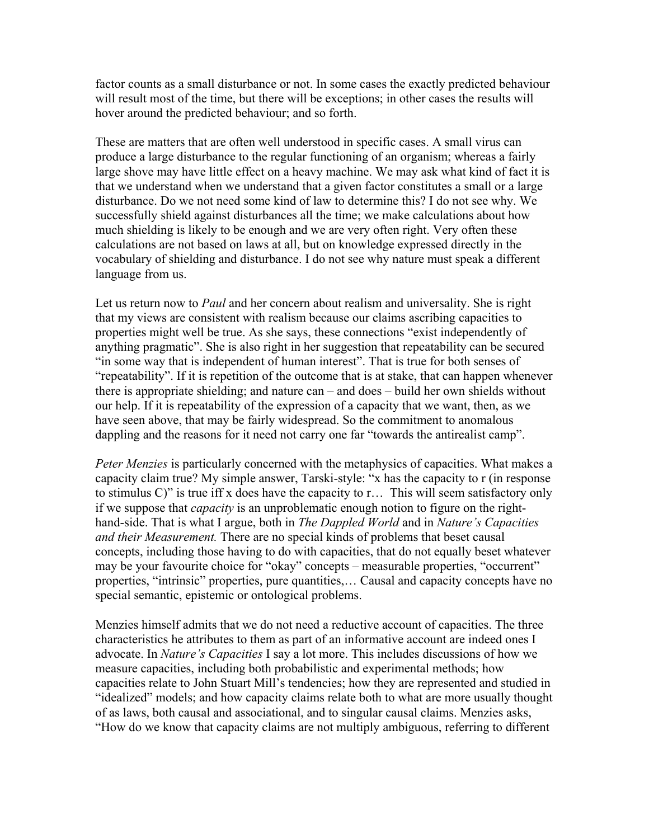factor counts as a small disturbance or not. In some cases the exactly predicted behaviour will result most of the time, but there will be exceptions; in other cases the results will hover around the predicted behaviour; and so forth.

These are matters that are often well understood in specific cases. A small virus can produce a large disturbance to the regular functioning of an organism; whereas a fairly large shove may have little effect on a heavy machine. We may ask what kind of fact it is that we understand when we understand that a given factor constitutes a small or a large disturbance. Do we not need some kind of law to determine this? I do not see why. We successfully shield against disturbances all the time; we make calculations about how much shielding is likely to be enough and we are very often right. Very often these calculations are not based on laws at all, but on knowledge expressed directly in the vocabulary of shielding and disturbance. I do not see why nature must speak a different language from us.

Let us return now to *Paul* and her concern about realism and universality. She is right that my views are consistent with realism because our claims ascribing capacities to properties might well be true. As she says, these connections "exist independently of anything pragmatic". She is also right in her suggestion that repeatability can be secured "in some way that is independent of human interest". That is true for both senses of "repeatability". If it is repetition of the outcome that is at stake, that can happen whenever there is appropriate shielding; and nature can – and does – build her own shields without our help. If it is repeatability of the expression of a capacity that we want, then, as we have seen above, that may be fairly widespread. So the commitment to anomalous dappling and the reasons for it need not carry one far "towards the antirealist camp".

*Peter Menzies* is particularly concerned with the metaphysics of capacities. What makes a capacity claim true? My simple answer, Tarski-style: "x has the capacity to r (in response to stimulus C)" is true iff x does have the capacity to r… This will seem satisfactory only if we suppose that *capacity* is an unproblematic enough notion to figure on the righthand-side. That is what I argue, both in *The Dappled World* and in *Nature's Capacities and their Measurement.* There are no special kinds of problems that beset causal concepts, including those having to do with capacities, that do not equally beset whatever may be your favourite choice for "okay" concepts – measurable properties, "occurrent" properties, "intrinsic" properties, pure quantities,… Causal and capacity concepts have no special semantic, epistemic or ontological problems.

Menzies himself admits that we do not need a reductive account of capacities. The three characteristics he attributes to them as part of an informative account are indeed ones I advocate. In *Nature's Capacities* I say a lot more. This includes discussions of how we measure capacities, including both probabilistic and experimental methods; how capacities relate to John Stuart Mill's tendencies; how they are represented and studied in "idealized" models; and how capacity claims relate both to what are more usually thought of as laws, both causal and associational, and to singular causal claims. Menzies asks, "How do we know that capacity claims are not multiply ambiguous, referring to different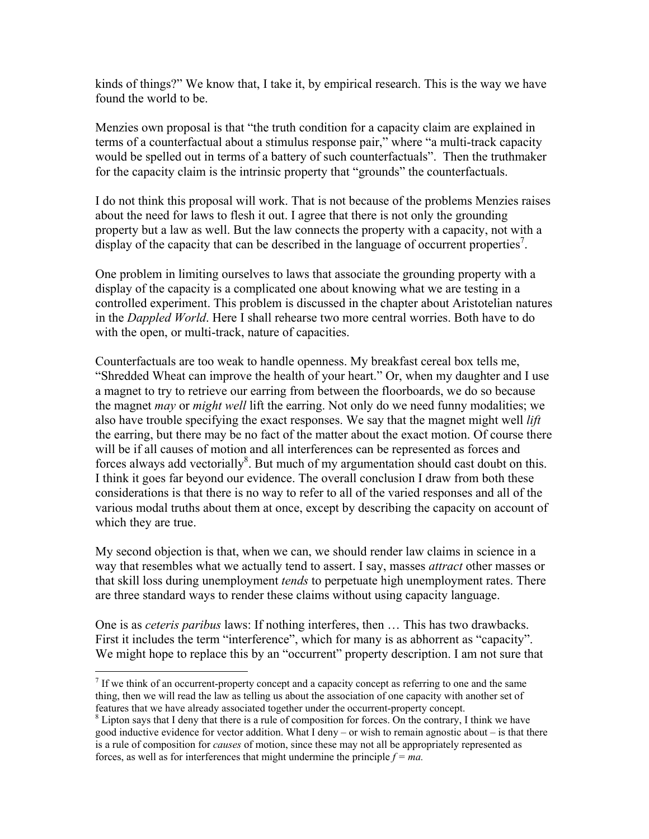kinds of things?" We know that, I take it, by empirical research. This is the way we have found the world to be.

Menzies own proposal is that "the truth condition for a capacity claim are explained in terms of a counterfactual about a stimulus response pair," where "a multi-track capacity would be spelled out in terms of a battery of such counterfactuals". Then the truthmaker for the capacity claim is the intrinsic property that "grounds" the counterfactuals.

I do not think this proposal will work. That is not because of the problems Menzies raises about the need for laws to flesh it out. I agree that there is not only the grounding property but a law as well. But the law connects the property with a capacity, not with a display of the capacity that can be described in the language of occurrent properties<sup>[7](#page-5-0)</sup>.

One problem in limiting ourselves to laws that associate the grounding property with a display of the capacity is a complicated one about knowing what we are testing in a controlled experiment. This problem is discussed in the chapter about Aristotelian natures in the *Dappled World*. Here I shall rehearse two more central worries. Both have to do with the open, or multi-track, nature of capacities.

Counterfactuals are too weak to handle openness. My breakfast cereal box tells me, "Shredded Wheat can improve the health of your heart." Or, when my daughter and I use a magnet to try to retrieve our earring from between the floorboards, we do so because the magnet *may* or *might well* lift the earring. Not only do we need funny modalities; we also have trouble specifying the exact responses. We say that the magnet might well *lift* the earring, but there may be no fact of the matter about the exact motion. Of course there will be if all causes of motion and all interferences can be represented as forces and forces always add vectorially $\delta$ . But much of my argumentation should cast doubt on this. I think it goes far beyond our evidence. The overall conclusion I draw from both these considerations is that there is no way to refer to all of the varied responses and all of the various modal truths about them at once, except by describing the capacity on account of which they are true.

My second objection is that, when we can, we should render law claims in science in a way that resembles what we actually tend to assert. I say, masses *attract* other masses or that skill loss during unemployment *tends* to perpetuate high unemployment rates. There are three standard ways to render these claims without using capacity language.

One is as *ceteris paribus* laws: If nothing interferes, then … This has two drawbacks. First it includes the term "interference", which for many is as abhorrent as "capacity". We might hope to replace this by an "occurrent" property description. I am not sure that

<span id="page-5-0"></span><sup>&</sup>lt;u>.</u>  $<sup>7</sup>$  If we think of an occurrent-property concept and a capacity concept as referring to one and the same</sup> thing, then we will read the law as telling us about the association of one capacity with another set of features that we have already associated together under the occurrent-property concept. 8

<span id="page-5-1"></span> $8$  Lipton says that I deny that there is a rule of composition for forces. On the contrary, I think we have good inductive evidence for vector addition. What I deny – or wish to remain agnostic about – is that there is a rule of composition for *causes* of motion, since these may not all be appropriately represented as forces, as well as for interferences that might undermine the principle  $f = ma$ .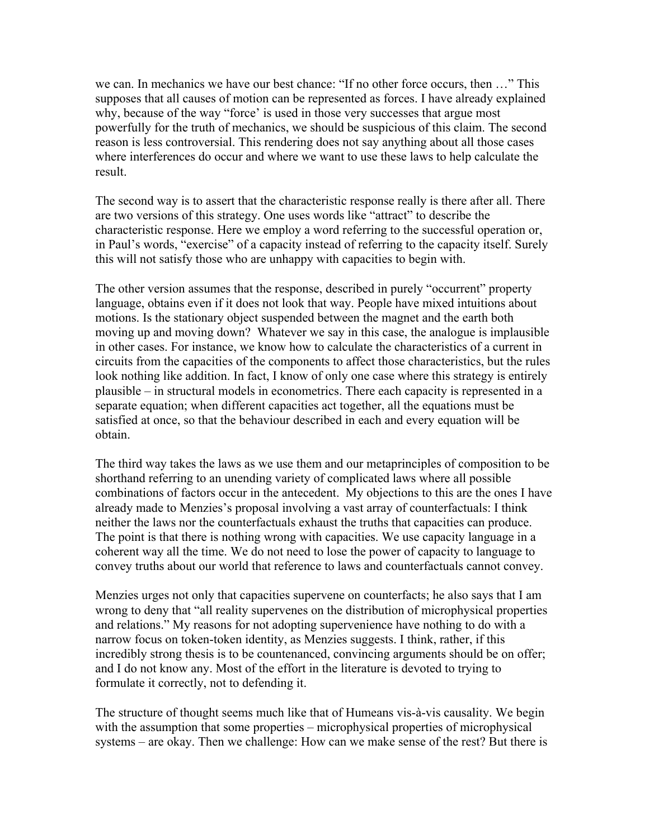we can. In mechanics we have our best chance: "If no other force occurs, then …" This supposes that all causes of motion can be represented as forces. I have already explained why, because of the way "force' is used in those very successes that argue most powerfully for the truth of mechanics, we should be suspicious of this claim. The second reason is less controversial. This rendering does not say anything about all those cases where interferences do occur and where we want to use these laws to help calculate the result.

The second way is to assert that the characteristic response really is there after all. There are two versions of this strategy. One uses words like "attract" to describe the characteristic response. Here we employ a word referring to the successful operation or, in Paul's words, "exercise" of a capacity instead of referring to the capacity itself. Surely this will not satisfy those who are unhappy with capacities to begin with.

The other version assumes that the response, described in purely "occurrent" property language, obtains even if it does not look that way. People have mixed intuitions about motions. Is the stationary object suspended between the magnet and the earth both moving up and moving down? Whatever we say in this case, the analogue is implausible in other cases. For instance, we know how to calculate the characteristics of a current in circuits from the capacities of the components to affect those characteristics, but the rules look nothing like addition. In fact, I know of only one case where this strategy is entirely plausible – in structural models in econometrics. There each capacity is represented in a separate equation; when different capacities act together, all the equations must be satisfied at once, so that the behaviour described in each and every equation will be obtain.

The third way takes the laws as we use them and our metaprinciples of composition to be shorthand referring to an unending variety of complicated laws where all possible combinations of factors occur in the antecedent. My objections to this are the ones I have already made to Menzies's proposal involving a vast array of counterfactuals: I think neither the laws nor the counterfactuals exhaust the truths that capacities can produce. The point is that there is nothing wrong with capacities. We use capacity language in a coherent way all the time. We do not need to lose the power of capacity to language to convey truths about our world that reference to laws and counterfactuals cannot convey.

Menzies urges not only that capacities supervene on counterfacts; he also says that I am wrong to deny that "all reality supervenes on the distribution of microphysical properties and relations." My reasons for not adopting supervenience have nothing to do with a narrow focus on token-token identity, as Menzies suggests. I think, rather, if this incredibly strong thesis is to be countenanced, convincing arguments should be on offer; and I do not know any. Most of the effort in the literature is devoted to trying to formulate it correctly, not to defending it.

The structure of thought seems much like that of Humeans vis-à-vis causality. We begin with the assumption that some properties – microphysical properties of microphysical systems – are okay. Then we challenge: How can we make sense of the rest? But there is